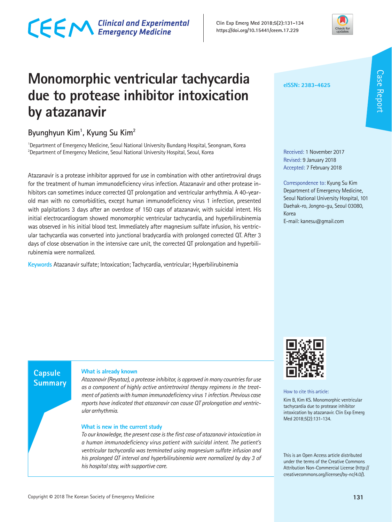

### **Monomorphic ventricular tachycardia due to protease inhibitor intoxication by atazanavir**

#### **Byunghyun Kim1 , Kyung Su Kim2**

<sup>1</sup>Department of Emergency Medicine, Seoul National University Bundang Hospital, Seongnam, Korea  $^{2}$ Department of Emergency Medicine, Seoul National University Hospital, Seoul, Korea

Atazanavir is a protease inhibitor approved for use in combination with other antiretroviral drugs for the treatment of human immunodeficiency virus infection. Atazanavir and other protease inhibitors can sometimes induce corrected QT prolongation and ventricular arrhythmia. A 40-yearold man with no comorbidities, except human immunodeficiency virus 1 infection, presented with palpitations 3 days after an overdose of 150 caps of atazanavir, with suicidal intent. His initial electrocardiogram showed monomorphic ventricular tachycardia, and hyperbilirubinemia was observed in his initial blood test. Immediately after magnesium sulfate infusion, his ventricular tachycardia was converted into junctional bradycardia with prolonged corrected QT. After 3 days of close observation in the intensive care unit, the corrected QT prolongation and hyperbilirubinemia were normalized.

**Keywords** Atazanavir sulfate; Intoxication; Tachycardia, ventricular; Hyperbilirubinemia

**eISSN: 2383-4625**

Received: 1 November 2017 Revised: 9 January 2018 Accepted: 7 February 2018

Correspondence to: Kyung Su Kim Department of Emergency Medicine, Seoul National University Hospital, 101 Daehak-ro, Jongno-gu, Seoul 03080, Korea E-mail: kanesu@gmail.com

**Capsule Summary** 

#### **What is already known**

*Atazanavir (Reyataz), a protease inhibitor, is approved in many countries for use as a component of highly active antiretroviral therapy regimens in the treatment of patients with human immunodeficiency virus 1 infection. Previous case reports have indicated that atazanavir can cause QT prolongation and ventricular arrhythmia.* 

#### **What is new in the current study**

*To our knowledge, the present case is the first case of atazanavir intoxication in a human immunodeficiency virus patient with suicidal intent. The patient's ventricular tachycardia was terminated using magnesium sulfate infusion and his prolonged QT interval and hyperbilirubinemia were normalized by day 3 of his hospital stay, with supportive care.*



How to cite this article:

Kim B, Kim KS. Monomorphic ventricular tachycardia due to protease inhibitor intoxication by atazanavir. Clin Exp Emerg Med 2018;5(2):131-134.

This is an Open Access article distributed under the terms of the Creative Commons Attribution Non-Commercial License (http:// creativecommons.org/licenses/by-nc/4.0/).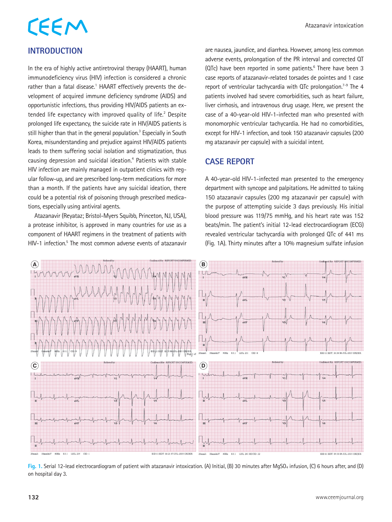#### **INTRODUCTION**

In the era of highly active antiretroviral therapy (HAART), human immunodeficiency virus (HIV) infection is considered a chronic rather than a fatal disease.<sup>1</sup> HAART effectively prevents the development of acquired immune deficiency syndrome (AIDS) and opportunistic infections, thus providing HIV/AIDS patients an extended life expectancy with improved quality of life.<sup>2</sup> Despite prolonged life expectancy, the suicide rate in HIV/AIDS patients is still higher than that in the general population.<sup>3</sup> Especially in South Korea, misunderstanding and prejudice against HIV/AIDS patients leads to them suffering social isolation and stigmatization, thus causing depression and suicidal ideation.<sup>4</sup> Patients with stable HIV infection are mainly managed in outpatient clinics with regular follow-up, and are prescribed long-term medications for more than a month. If the patients have any suicidal ideation, there could be a potential risk of poisoning through prescribed medications, especially using antiviral agents.

Atazanavir (Reyataz; Bristol-Myers Squibb, Princeton, NJ, USA), a protease inhibitor, is approved in many countries for use as a component of HAART regimens in the treatment of patients with HIV-1 infection.<sup>5</sup> The most common adverse events of atazanavir are nausea, jaundice, and diarrhea. However, among less common adverse events, prolongation of the PR interval and corrected QT (QTc) have been reported in some patients.<sup>6</sup> There have been 3 case reports of atazanavir-related torsades de pointes and 1 case report of ventricular tachycardia with QTc prolongation.<sup>7-9</sup> The 4 patients involved had severe comorbidities, such as heart failure, liver cirrhosis, and intravenous drug usage. Here, we present the case of a 40-year-old HIV-1-infected man who presented with monomorphic ventricular tachycardia. He had no comorbidities, except for HIV-1 infection, and took 150 atazanavir capsules (200 mg atazanavir per capsule) with a suicidal intent.

#### **CASE REPORT**

A 40-year-old HIV-1-infected man presented to the emergency department with syncope and palpitations. He admitted to taking 150 atazanavir capsules (200 mg atazanavir per capsule) with the purpose of attempting suicide 3 days previously. His initial blood pressure was 119/75 mmHg, and his heart rate was 152 beats/min. The patient's initial 12-lead electrocardiogram (ECG) revealed ventricular tachycardia with prolonged QTc of 441 ms (Fig. 1A). Thirty minutes after a 10% magnesium sulfate infusion



**Fig. 1.** Serial 12-lead electrocardiogram of patient with atazanavir intoxication. (A) Initial, (B) 30 minutes after MgSO4 infusion, (C) 6 hours after, and (D) on hospital day 3.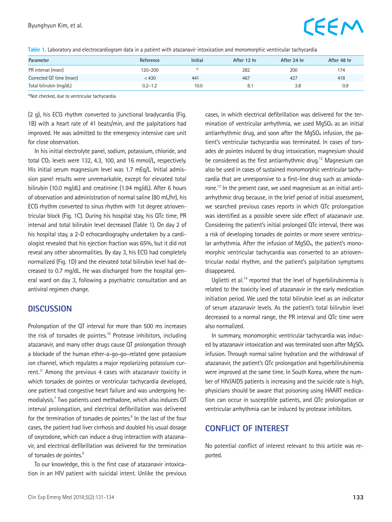## **CEEM**

|  |  |  |  |  | Table 1. Laboratory and electrocardiogram data in a patient with atazanavir intoxication and monomorphic ventricular tachycardia |  |
|--|--|--|--|--|----------------------------------------------------------------------------------------------------------------------------------|--|
|--|--|--|--|--|----------------------------------------------------------------------------------------------------------------------------------|--|

| Parameter                | Reference   | <b>Initial</b> | After 12 hr | After 24 hr | After 48 hr |
|--------------------------|-------------|----------------|-------------|-------------|-------------|
| PR interval (msec)       | 120–200     |                | 282         | 200         | 174         |
| Corrected QT time (msec) | < 430       | 441            | 467         | 427         | 418         |
| Total bilirubin (mg/dL)  | $0.2 - 1.2$ | 10.0           | 8.1         | 3.8         | 0.9         |

a)Not checked, due to ventricular tachycardia.

(2 g), his ECG rhythm converted to junctional bradycardia (Fig. 1B) with a heart rate of 41 beats/min, and the palpitations had improved. He was admitted to the emergency intensive care unit for close observation.

In his initial electrolyte panel, sodium, potassium, chloride, and total CO2 levels were 132, 4.3, 100, and 16 mmol/L, respectively. His initial serum magnesium level was 1.7 mEq/L. Initial admission panel results were unremarkable, except for elevated total bilirubin (10.0 mg/dL) and creatinine (1.94 mg/dL). After 6 hours of observation and administration of normal saline (80 mL/hr), his ECG rhythm converted to sinus rhythm with 1st degree atrioventricular block (Fig. 1C). During his hospital stay, his QTc time, PR interval and total bilirubin level decreased (Table 1). On day 2 of his hospital stay, a 2-D echocardiography undertaken by a cardiologist revealed that his ejection fraction was 65%, but it did not reveal any other abnormalities. By day 3, his ECG had completely normalized (Fig. 1D) and the elevated total bilirubin level had decreased to 0.7 mg/dL. He was discharged from the hospital general ward on day 3, following a psychiatric consultation and an antiviral regimen change.

#### **DISCUSSION**

Prolongation of the QT interval for more than 500 ms increases the risk of torsades de pointes.10 Protease inhibitors, including atazanavir, and many other drugs cause QT prolongation through a blockade of the human ether-a-go-go–related gene potassium ion channel, which regulates a major repolarizing potassium current.<sup>11</sup> Among the previous 4 cases with atazanavir toxicity in which torsades de pointes or ventricular tachycardia developed, one patient had congestive heart failure and was undergoing hemodialysis.7 Two patients used methadone, which also induces QT interval prolongation, and electrical defibrillation was delivered for the termination of torsades de pointes.<sup>8</sup> In the last of the four cases, the patient had liver cirrhosis and doubled his usual dosage of oxycodone, which can induce a drug interaction with atazanavir, and electrical defibrillation was delivered for the termination of torsades de pointes.<sup>9</sup>

To our knowledge, this is the first case of atazanavir intoxication in an HIV patient with suicidal intent. Unlike the previous cases, in which electrical defibrillation was delivered for the termination of ventricular arrhythmia, we used MgSO<sub>4</sub> as an initial antiarrhythmic drug, and soon after the MgSO<sub>4</sub> infusion, the patient's ventricular tachycardia was terminated. In cases of torsades de pointes induced by drug intoxication, magnesium should be considered as the first antiarrhythmic drug.<sup>12</sup> Magnesium can also be used in cases of sustained monomorphic ventricular tachycardia that are unresponsive to a first-line drug such as amiodarone.13 In the present case, we used magnesium as an initial antiarrhythmic drug because, in the brief period of initial assessment, we searched previous cases reports in which QTc prolongation was identified as a possible severe side effect of atazanavir use. Considering the patient's initial prolonged QTc interval, there was a risk of developing torsades de pointes or more severe ventricular arrhythmia. After the infusion of MgSO<sub>4</sub>, the patient's monomorphic ventricular tachycardia was converted to an atrioventricular nodal rhythm, and the patient's palpitation symptoms disappeared.

Uglietti et al.<sup>14</sup> reported that the level of hyperbilirubinemia is related to the toxicity level of atazanavir in the early medication initiation period. We used the total bilirubin level as an indicator of serum atazanavir levels. As the patient's total bilirubin level decreased to a normal range, the PR interval and QTc time were also normalized.

In summary, monomorphic ventricular tachycardia was induced by atazanavir intoxication and was terminated soon after MgSO<sub>4</sub> infusion. Through normal saline hydration and the withdrawal of atazanavir, the patient's QTc prolongation and hyperbilirubinemia were improved at the same time. In South Korea, where the number of HIV/AIDS patients is increasing and the suicide rate is high, physicians should be aware that poisoning using HAART medication can occur in susceptible patients, and QTc prolongation or ventricular arrhythmia can be induced by protease inhibitors.

#### **CONFLICT OF INTEREST**

No potential conflict of interest relevant to this article was reported.